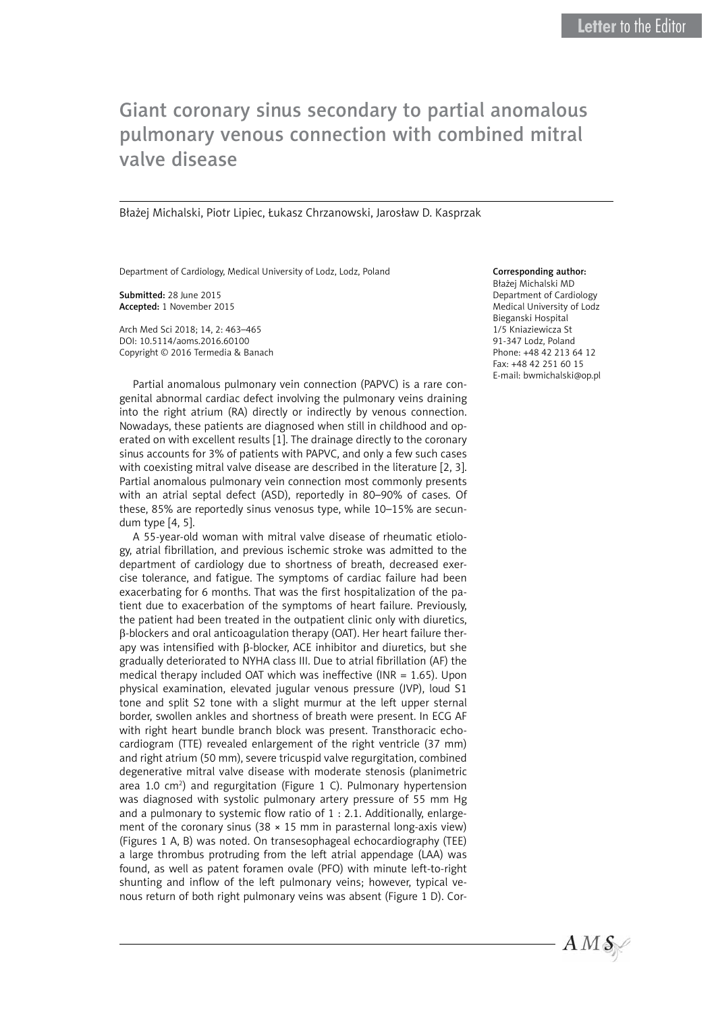## Giant coronary sinus secondary to partial anomalous pulmonary venous connection with combined mitral valve disease

Błażej Michalski, Piotr Lipiec, Łukasz Chrzanowski, Jarosław D. Kasprzak

Department of Cardiology, Medical University of Lodz, Lodz, Poland

Submitted: 28 June 2015 Accepted: 1 November 2015

Arch Med Sci 2018; 14, 2: 463–465 DOI: 10.5114/aoms.2016.60100 Copyright © 2016 Termedia & Banach

Partial anomalous pulmonary vein connection (PAPVC) is a rare congenital abnormal cardiac defect involving the pulmonary veins draining into the right atrium (RA) directly or indirectly by venous connection. Nowadays, these patients are diagnosed when still in childhood and operated on with excellent results [1]. The drainage directly to the coronary sinus accounts for 3% of patients with PAPVC, and only a few such cases with coexisting mitral valve disease are described in the literature [2, 3]. Partial anomalous pulmonary vein connection most commonly presents with an atrial septal defect (ASD), reportedly in 80–90% of cases. Of these, 85% are reportedly sinus venosus type, while 10–15% are secundum type [4, 5].

A 55-year-old woman with mitral valve disease of rheumatic etiology, atrial fibrillation, and previous ischemic stroke was admitted to the department of cardiology due to shortness of breath, decreased exercise tolerance, and fatigue. The symptoms of cardiac failure had been exacerbating for 6 months. That was the first hospitalization of the patient due to exacerbation of the symptoms of heart failure. Previously, the patient had been treated in the outpatient clinic only with diuretics, b-blockers and oral anticoagulation therapy (OAT). Her heart failure therapy was intensified with β-blocker, ACE inhibitor and diuretics, but she gradually deteriorated to NYHA class III. Due to atrial fibrillation (AF) the medical therapy included OAT which was ineffective (INR = 1.65). Upon physical examination, elevated jugular venous pressure (JVP), loud S1 tone and split S2 tone with a slight murmur at the left upper sternal border, swollen ankles and shortness of breath were present. In ECG AF with right heart bundle branch block was present. Transthoracic echocardiogram (TTE) revealed enlargement of the right ventricle (37 mm) and right atrium (50 mm), severe tricuspid valve regurgitation, combined degenerative mitral valve disease with moderate stenosis (planimetric area 1.0 cm<sup>2</sup>) and regurgitation (Figure 1 C). Pulmonary hypertension was diagnosed with systolic pulmonary artery pressure of 55 mm Hg and a pulmonary to systemic flow ratio of 1 : 2.1. Additionally, enlargement of the coronary sinus (38  $\times$  15 mm in parasternal long-axis view) (Figures 1 A, B) was noted. On transesophageal echocardiography (TEE) a large thrombus protruding from the left atrial appendage (LAA) was found, as well as patent foramen ovale (PFO) with minute left-to-right shunting and inflow of the left pulmonary veins; however, typical venous return of both right pulmonary veins was absent (Figure 1 D). Cor-

## Corresponding author:

Błażej Michalski MD Department of Cardiology Medical University of Lodz Bieganski Hospital 1/5 Kniaziewicza St 91-347 Lodz, Poland Phone: +48 42 213 64 12 Fax: +48 42 251 60 15 E-mail: [bwmichalski@op.pl](mailto:bwmichalski@op.pl)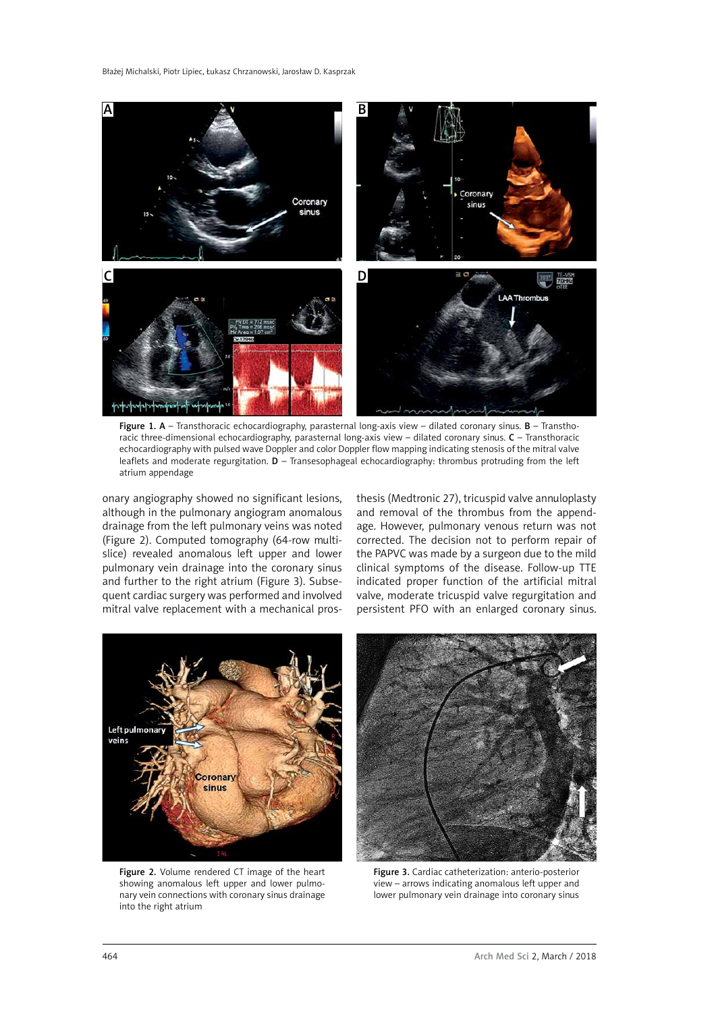

Figure 1. A - Transthoracic echocardiography, parasternal long-axis view - dilated coronary sinus. B - Transthoracic three-dimensional echocardiography, parasternal long-axis view – dilated coronary sinus. C – Transthoracic echocardiography with pulsed wave Doppler and color Doppler flow mapping indicating stenosis of the mitral valve leaflets and moderate regurgitation. D – Transesophageal echocardiography: thrombus protruding from the left atrium appendage

onary angiography showed no significant lesions, although in the pulmonary angiogram anomalous drainage from the left pulmonary veins was noted (Figure 2). Computed tomography (64-row multislice) revealed anomalous left upper and lower pulmonary vein drainage into the coronary sinus and further to the right atrium (Figure 3). Subsequent cardiac surgery was performed and involved mitral valve replacement with a mechanical prosthesis (Medtronic 27), tricuspid valve annuloplasty and removal of the thrombus from the appendage. However, pulmonary venous return was not corrected. The decision not to perform repair of the PAPVC was made by a surgeon due to the mild clinical symptoms of the disease. Follow-up TTE indicated proper function of the artificial mitral valve, moderate tricuspid valve regurgitation and persistent PFO with an enlarged coronary sinus.



Figure 2. Volume rendered CT image of the heart showing anomalous left upper and lower pulmonary vein connections with coronary sinus drainage into the right atrium



Figure 3. Cardiac catheterization: anterio-posterior view – arrows indicating anomalous left upper and lower pulmonary vein drainage into coronary sinus